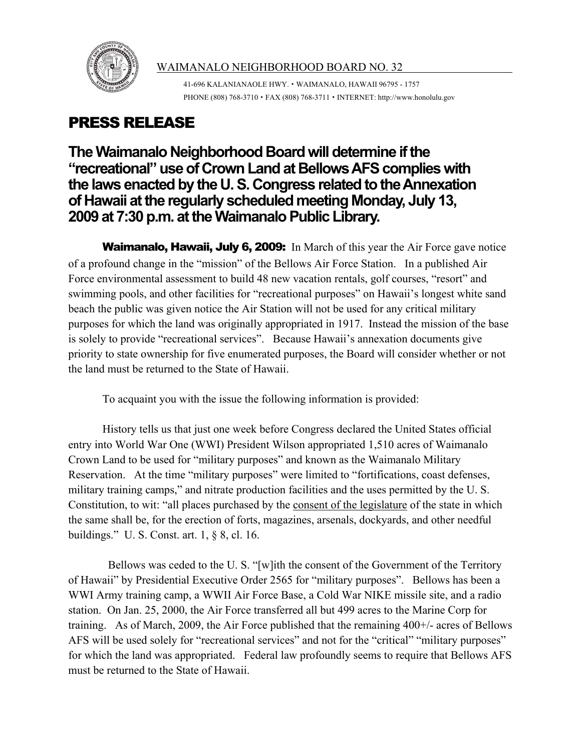

## WAIMANALO NEIGHBORHOOD BOARD NO. 32

41-696 KALANIANAOLE HWY. ! WAIMANALO, HAWAII 96795 - 1757 PHONE (808)  $768-3710 \cdot FAX$  (808)  $768-3711 \cdot INTERNET$ : http://www.honolulu.gov

## PRESS RELEASE

**The Waimanalo Neighborhood Board will determine if the "recreational" useof CrownLand at BellowsAFScomplieswith the laws enacted by the U.S. Congress related to the Annexation of Hawaii atthe regularly scheduled meeting Monday, July 13, 2009** at 7:30 p.m. at the Waimanalo Public Library.

Waimanalo, Hawaii, July 6, 2009: In March of this year the Air Force gave notice of a profound change in the "mission" of the Bellows Air Force Station. In a published Air Force environmental assessment to build 48 new vacation rentals, golf courses, "resort" and swimming pools, and other facilities for "recreational purposes" on Hawaii's longest white sand beach the public was given notice the Air Station will not be used for any critical military purposes for which the land was originally appropriated in 1917. Instead the mission of the base is solely to provide "recreational services". Because Hawaii's annexation documents give priority to state ownership for five enumerated purposes, the Board will consider whether or not the land must be returned to the State of Hawaii.

To acquaint you with the issue the following information is provided:

History tells us that just one week before Congress declared the United States official entry into World War One (WWI) President Wilson appropriated 1,510 acres of Waimanalo Crown Land to be used for "military purposes" and known as the Waimanalo Military Reservation. At the time "military purposes" were limited to "fortifications, coast defenses, military training camps," and nitrate production facilities and the uses permitted by the U. S. Constitution, to wit: "all places purchased by the consent of the legislature of the state in which the same shall be, for the erection of forts, magazines, arsenals, dockyards, and other needful buildings." U. S. Const. art. 1, § 8, cl. 16.

 Bellows was ceded to the U. S. "[w]ith the consent of the Government of the Territory of Hawaii" by Presidential Executive Order 2565 for "military purposes". Bellows has been a WWI Army training camp, a WWII Air Force Base, a Cold War NIKE missile site, and a radio station. On Jan. 25, 2000, the Air Force transferred all but 499 acres to the Marine Corp for training. As of March, 2009, the Air Force published that the remaining 400+/- acres of Bellows AFS will be used solely for "recreational services" and not for the "critical" "military purposes" for which the land was appropriated. Federal law profoundly seems to require that Bellows AFS must be returned to the State of Hawaii.